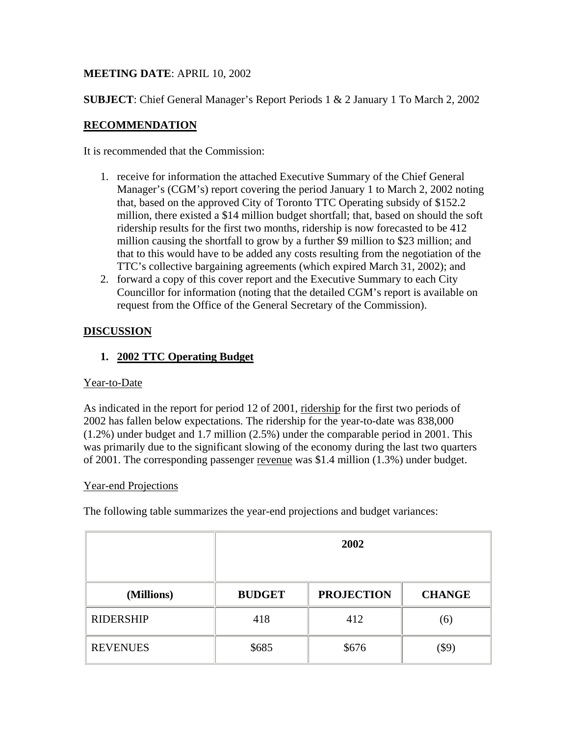# **MEETING DATE**: APRIL 10, 2002

**SUBJECT**: Chief General Manager's Report Periods 1 & 2 January 1 To March 2, 2002

# **RECOMMENDATION**

It is recommended that the Commission:

- 1. receive for information the attached Executive Summary of the Chief General Manager's (CGM's) report covering the period January 1 to March 2, 2002 noting that, based on the approved City of Toronto TTC Operating subsidy of \$152.2 million, there existed a \$14 million budget shortfall; that, based on should the soft ridership results for the first two months, ridership is now forecasted to be 412 million causing the shortfall to grow by a further \$9 million to \$23 million; and that to this would have to be added any costs resulting from the negotiation of the TTC's collective bargaining agreements (which expired March 31, 2002); and
- 2. forward a copy of this cover report and the Executive Summary to each City Councillor for information (noting that the detailed CGM's report is available on request from the Office of the General Secretary of the Commission).

# **DISCUSSION**

# **1. 2002 TTC Operating Budget**

### Year-to-Date

As indicated in the report for period 12 of 2001, ridership for the first two periods of 2002 has fallen below expectations. The ridership for the year-to-date was 838,000 (1.2%) under budget and 1.7 million (2.5%) under the comparable period in 2001. This was primarily due to the significant slowing of the economy during the last two quarters of 2001. The corresponding passenger revenue was \$1.4 million (1.3%) under budget.

### Year-end Projections

The following table summarizes the year-end projections and budget variances:

|                  | 2002          |                   |               |
|------------------|---------------|-------------------|---------------|
| (Millions)       | <b>BUDGET</b> | <b>PROJECTION</b> | <b>CHANGE</b> |
| <b>RIDERSHIP</b> | 418           | 412               | (6)           |
| <b>REVENUES</b>  | \$685         | \$676             | (\$9)         |